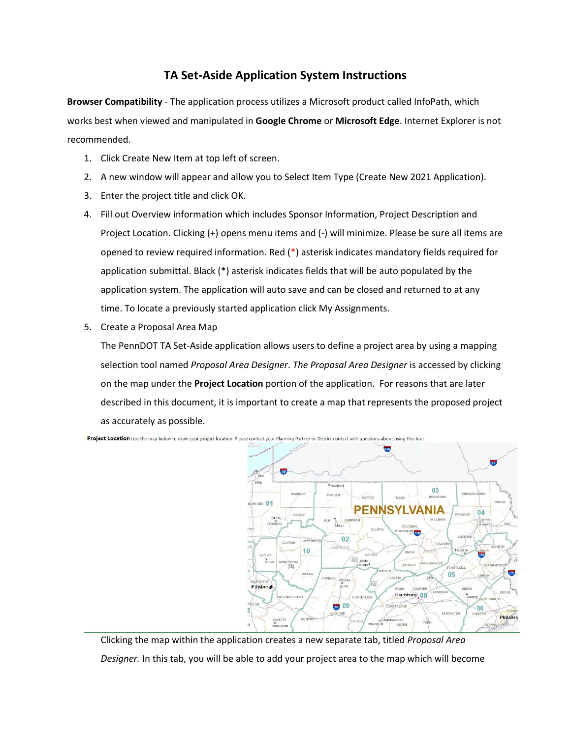# **TA Set-Aside Application System Instructions**

**Browser Compatibility** - The application process utilizes a Microsoft product called InfoPath, which works best when viewed and manipulated in **Google Chrome** or **Microsoft Edge**. Internet Explorer is not recommended.

- 1. Click Create New Item at top left of screen.
- 2. A new window will appear and allow you to Select Item Type (Create New 2021 Application).
- 3. Enter the project title and click OK.
- 4. Fill out Overview information which includes Sponsor Information, Project Description and Project Location. Clicking (+) opens menu items and (-) will minimize. Please be sure all items are opened to review required information. Red (\*) asterisk indicates mandatory fields required for application submittal. Black (\*) asterisk indicates fields that will be auto populated by the application system. The application will auto save and can be closed and returned to at any time. To locate a previously started application click My Assignments.
- 5. Create a Proposal Area Map

The PennDOT TA Set-Aside application allows users to define a project area by using a mapping selection tool named *Proposal Area Designer*. *The Proposal Area Designer* is accessed by clicking on the map under the **Project Location** portion of the application. For reasons that are later described in this document, it is important to create a map that represents the proposed project as accurately as possible.



Clicking the map within the application creates a new separate tab, titled *Proposal Area Designer.* In this tab, you will be able to add your project area to the map which will become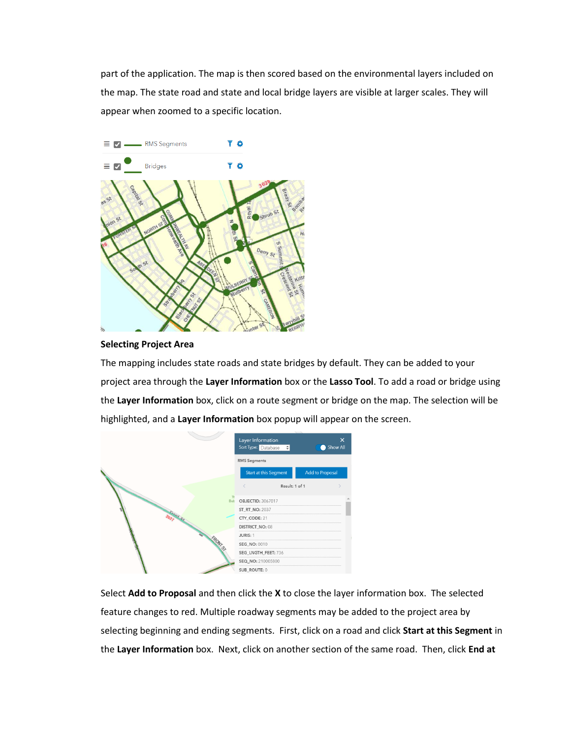part of the application. The map is then scored based on the environmental layers included on the map. The state road and state and local bridge layers are visible at larger scales. They will appear when zoomed to a specific location.



### **Selecting Project Area**

The mapping includes state roads and state bridges by default. They can be added to your project area through the **Layer Information** box or the **Lasso Tool**. To add a road or bridge using the **Layer Information** box, click on a route segment or bridge on the map. The selection will be highlighted, and a **Layer Information** box popup will appear on the screen.

|            | Layer Information<br>Sort Type: Database $\div$ | $\times$<br><b>Show All</b><br>$\scriptstyle\blacksquare$ |
|------------|-------------------------------------------------|-----------------------------------------------------------|
|            | <b>RMS</b> Segments                             |                                                           |
|            | Start at this Segment                           | Add to Proposal                                           |
|            | Result: 1 of 1                                  |                                                           |
| <b>Bub</b> | $\mathbb{R}$<br><b>OBJECTID: 3067017</b>        |                                                           |
|            | <b>ST_RT_NO: 2037</b>                           |                                                           |
| 2032 S.    | CTY_CODE: 21                                    |                                                           |
|            | DISTRICT_NO: 08                                 |                                                           |
|            | JURIS: 1                                        |                                                           |
| RONT       | SEG_NO: 0010                                    |                                                           |
|            | SEG_LNGTH_FEET: 736                             |                                                           |
|            | SEQ_NO: 210005800                               |                                                           |
|            | SUB ROUTE: 0                                    |                                                           |

Select **Add to Proposal** and then click the **X** to close the layer information box. The selected feature changes to red. Multiple roadway segments may be added to the project area by selecting beginning and ending segments. First, click on a road and click **Start at this Segment** in the **Layer Information** box. Next, click on another section of the same road. Then, click **End at**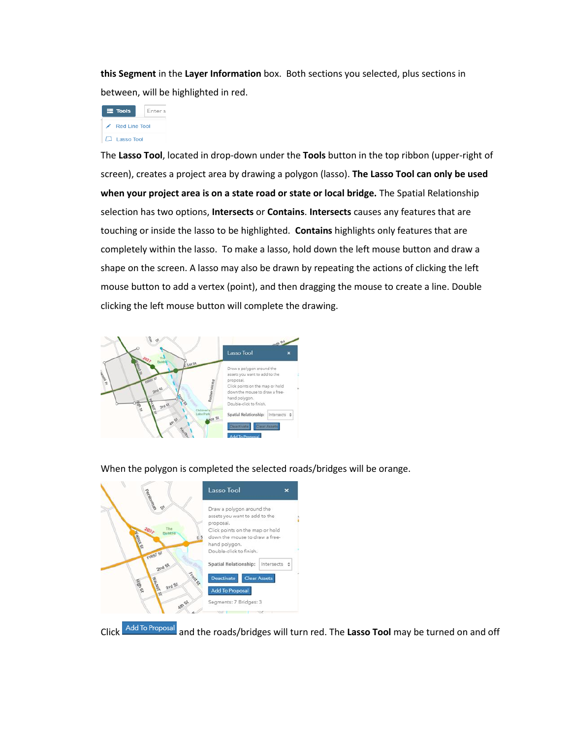**this Segment** in the **Layer Information** box. Both sections you selected, plus sections in between, will be highlighted in red.



The **Lasso Tool**, located in drop-down under the **Tools** button in the top ribbon (upper-right of screen), creates a project area by drawing a polygon (lasso). **The Lasso Tool can only be used when your project area is on a state road or state or local bridge.** The Spatial Relationship selection has two options, **Intersects** or **Contains**. **Intersects** causes any features that are touching or inside the lasso to be highlighted. **Contains** highlights only features that are completely within the lasso. To make a lasso, hold down the left mouse button and draw a shape on the screen. A lasso may also be drawn by repeating the actions of clicking the left mouse button to add a vertex (point), and then dragging the mouse to create a line. Double clicking the left mouse button will complete the drawing.



When the polygon is completed the selected roads/bridges will be orange.



Click <sup>Add To Proposal</sup> and the roads/bridges will turn red. The Lasso Tool may be turned on and off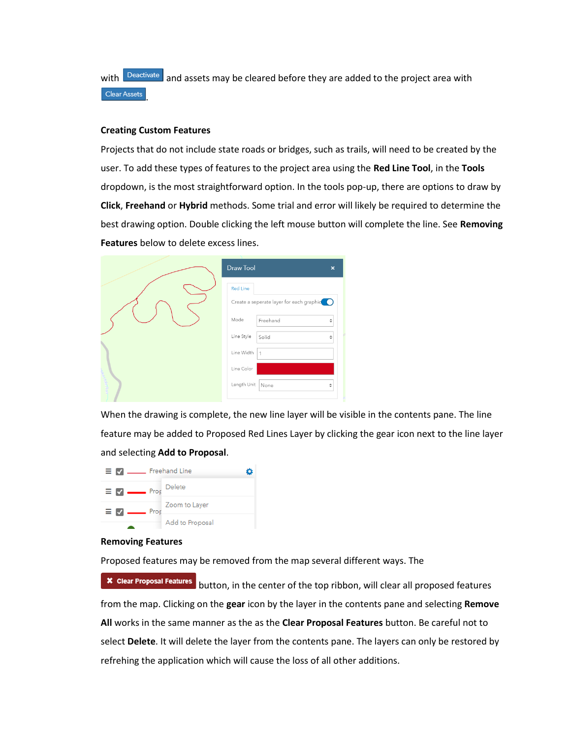with **Deactivate** and assets may be cleared before they are added to the project area with Clear Assets .

#### **Creating Custom Features**

Projects that do not include state roads or bridges, such as trails, will need to be created by the user. To add these types of features to the project area using the **Red Line Tool**, in the **Tools** dropdown, is the most straightforward option. In the tools pop-up, there are options to draw by **Click**, **Freehand** or **Hybrid** methods. Some trial and error will likely be required to determine the best drawing option. Double clicking the left mouse button will complete the line. See **Removing Features** below to delete excess lines.

| Draw Tool<br>$\boldsymbol{\mathsf{x}}$     |
|--------------------------------------------|
| <b>Red Line</b>                            |
| Create a seperate layer for each graphic C |
| Mode<br>Freehand<br>÷                      |
| Line Style<br>Solid<br>÷                   |
| Line Width<br>$\mathbf{1}$                 |
| Line Color                                 |
| Length Unit   None<br>÷                    |

When the drawing is complete, the new line layer will be visible in the contents pane. The line feature may be added to Proposed Red Lines Layer by clicking the gear icon next to the line layer and selecting **Add to Proposal**.

|                              | $\equiv$ $\blacksquare$ Freehand Line |  |
|------------------------------|---------------------------------------|--|
| $\equiv \blacksquare$ Prop   | Delete                                |  |
| $\equiv$ $\blacksquare$ Prop | Zoom to Layer                         |  |
|                              | Add to Proposal                       |  |

#### **Removing Features**

Proposed features may be removed from the map several different ways. The

**\* Clear Proposal Features** button, in the center of the top ribbon, will clear all proposed features from the map. Clicking on the **gear** icon by the layer in the contents pane and selecting **Remove All** works in the same manner as the as the **Clear Proposal Features** button. Be careful not to select **Delete**. It will delete the layer from the contents pane. The layers can only be restored by refrehing the application which will cause the loss of all other additions.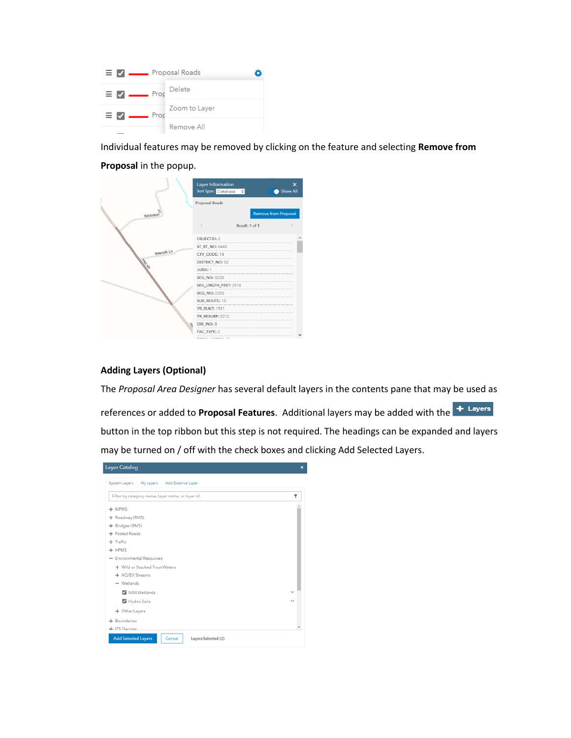

Individual features may be removed by clicking on the feature and selecting **Remove from** 

### **Proposal** in the popup.

|            | Layer Information<br>Proposal Roads | Sort Type: Database $\Leftrightarrow$ | $\times$<br>Show All |
|------------|-------------------------------------|---------------------------------------|----------------------|
| Seclusion  |                                     |                                       | Remove from Proposal |
|            |                                     | Result: 1 of 1                        |                      |
|            | OBJECTID: 2                         |                                       |                      |
|            | ST_RT_NO: 0445                      |                                       |                      |
| Sawmill Ln | CTY_CODE: 14                        |                                       |                      |
|            | DISTRICT_NO: 02                     |                                       |                      |
|            | JURIS: 1                            |                                       |                      |
|            | SEG_NO: 0220                        |                                       |                      |
|            | SEG_LNGTH_FEET: 2018                |                                       |                      |
|            | <b>SEQ NO: 2300</b>                 |                                       |                      |
|            | SUB_ROUTE: 10                       |                                       |                      |
|            | YR_BUILT: 1921                      |                                       |                      |
|            | <b>YR_RESURF: 2012</b>              |                                       |                      |
|            | DIR_IND: B                          |                                       |                      |
|            | FAC TYPE: 2                         |                                       |                      |
|            |                                     | $1.00000011 - 0.00$                   |                      |

#### **Adding Layers (Optional)**

The *Proposal Area Designer* has several default layers in the contents pane that may be used as

references or added to **Proposal Features**. Additional layers may be added with the button in the top ribbon but this step is not required. The headings can be expanded and layers may be turned on / off with the check boxes and clicking Add Selected Layers.

| <b>Layer Catalog</b>                                        | $\boldsymbol{\mathsf{x}}$ |
|-------------------------------------------------------------|---------------------------|
| System Layers<br>My Layers<br>Add External Layer            |                           |
| Filter by category name, layer name, or layer id.           | ۳                         |
| $+$ MPMS                                                    |                           |
| + Roadway (RMS)                                             |                           |
| + Bridges (BMS)                                             |                           |
| + Posted Roads                                              |                           |
| $+$ Traffic                                                 |                           |
| $+$ HPMS                                                    |                           |
| - Environmental Resources                                   |                           |
| + Wild or Stocked Trout Waters                              |                           |
| + HQ/EV Streams                                             |                           |
| - Wetlands                                                  |                           |
| NWI Wetlands                                                | $\checkmark$              |
| Hydric Soils                                                | $\check{ }$               |
| + Other Layers                                              |                           |
| + Boundaries                                                |                           |
| + ITS Devices                                               |                           |
| <b>Add Selected Layers</b><br>Cancel<br>Layers Selected (2) |                           |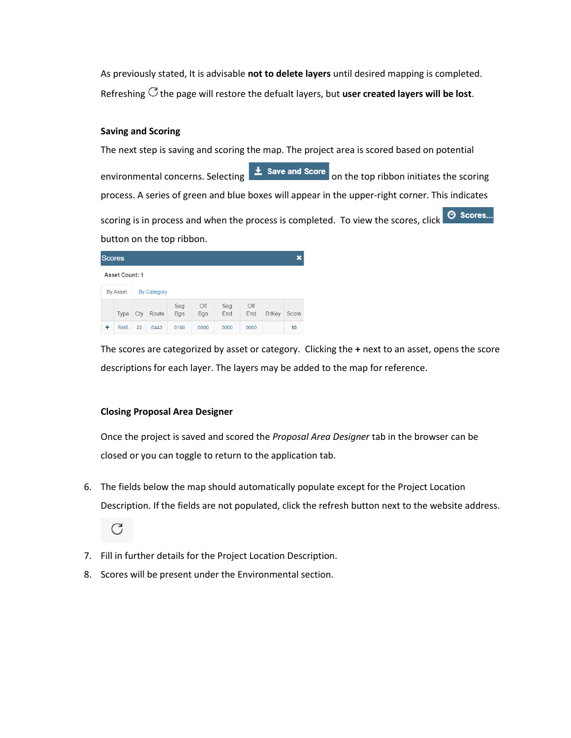As previously stated, It is advisable **not to delete layers** until desired mapping is completed. Refreshing  $\mathbb C$  the page will restore the defualt layers, but **user created layers will be lost**.

## **Saving and Scoring**

The next step is saving and scoring the map. The project area is scored based on potential environmental concerns. Selecting  $\frac{1}{2}$  save and score on the top ribbon initiates the scoring process. A series of green and blue boxes will appear in the upper-right corner. This indicates scoring is in process and when the process is completed. To view the scores, click  $\circ$  Scores... button on the top ribbon.

| <b>Scores</b>  |                 |     |                    |            |            | ×          |            |              |       |
|----------------|-----------------|-----|--------------------|------------|------------|------------|------------|--------------|-------|
| Asset Count: 1 |                 |     |                    |            |            |            |            |              |       |
|                | <b>By Asset</b> |     | <b>By Category</b> |            |            |            |            |              |       |
|                | Type            | Cty | Route              | Seg<br>Bgn | Off<br>Bgn | Seg<br>End | Off<br>End | <b>BrKey</b> | Score |
| ٠              | <b>RMS</b>      | 22  | 0443               | 0160       | 0000       | 0000       | 0000       |              | 10    |

The scores are categorized by asset or category. Clicking the **+** next to an asset, opens the score descriptions for each layer. The layers may be added to the map for reference.

# **Closing Proposal Area Designer**

Once the project is saved and scored the *Proposal Area Designer* tab in the browser can be closed or you can toggle to return to the application tab.

6. The fields below the map should automatically populate except for the Project Location Description. If the fields are not populated, click the refresh button next to the website address.



- 7. Fill in further details for the Project Location Description.
- 8. Scores will be present under the Environmental section.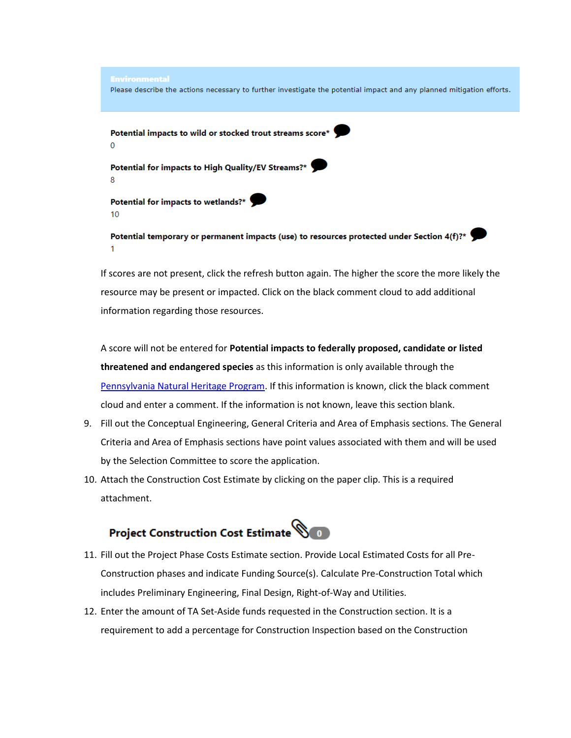

If scores are not present, click the refresh button again. The higher the score the more likely the resource may be present or impacted. Click on the black comment cloud to add additional information regarding those resources.

A score will not be entered for **Potential impacts to federally proposed, candidate or listed threatened and endangered species** as this information is only available through the [Pennsylvania Natural Heritage Program.](http://www.naturalheritage.state.pa.us/) If this information is known, click the black comment cloud and enter a comment. If the information is not known, leave this section blank.

- 9. Fill out the Conceptual Engineering, General Criteria and Area of Emphasis sections. The General Criteria and Area of Emphasis sections have point values associated with them and will be used by the Selection Committee to score the application.
- 10. Attach the Construction Cost Estimate by clicking on the paper clip. This is a required attachment.



- 11. Fill out the Project Phase Costs Estimate section. Provide Local Estimated Costs for all Pre-Construction phases and indicate Funding Source(s). Calculate Pre-Construction Total which includes Preliminary Engineering, Final Design, Right-of-Way and Utilities.
- 12. Enter the amount of TA Set-Aside funds requested in the Construction section. It is a requirement to add a percentage for Construction Inspection based on the Construction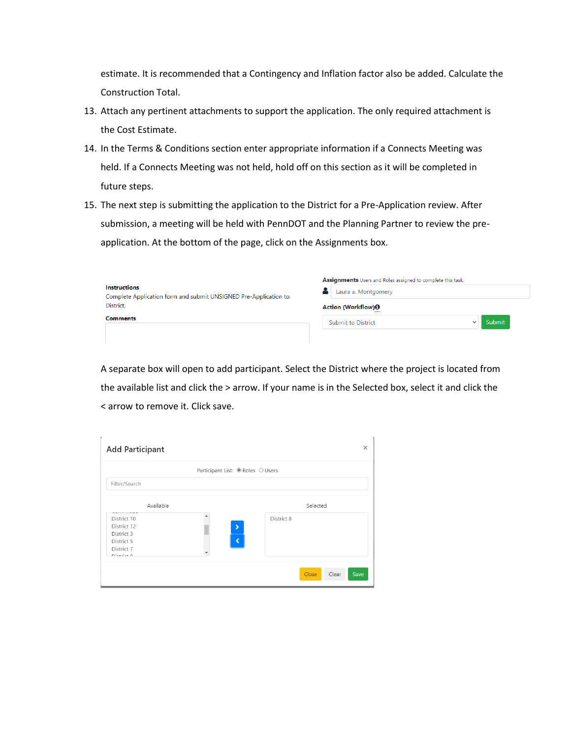estimate. It is recommended that a Contingency and Inflation factor also be added. Calculate the Construction Total.

- 13. Attach any pertinent attachments to support the application. The only required attachment is the Cost Estimate.
- 14. In the Terms & Conditions section enter appropriate information if a Connects Meeting was held. If a Connects Meeting was not held, hold off on this section as it will be completed in future steps.
- 15. The next step is submitting the application to the District for a Pre-Application review. After submission, a meeting will be held with PennDOT and the Planning Partner to review the preapplication. At the bottom of the page, click on the Assignments box.

| <b>Instructions</b><br>Complete Application form and submit UNSIGNED Pre-Application to | Assignments Users and Roles assigned to complete this task.<br>Laura a. Montgomery |  |  |
|-----------------------------------------------------------------------------------------|------------------------------------------------------------------------------------|--|--|
| District.                                                                               | Action (Workflow) <sup>O</sup>                                                     |  |  |
| <b>Comments</b>                                                                         | Submit<br>Submit to District                                                       |  |  |
|                                                                                         |                                                                                    |  |  |

A separate box will open to add participant. Select the District where the project is located from the available list and click the > arrow. If your name is in the Selected box, select it and click the < arrow to remove it. Click save.

| <b>Add Participant</b> | $\times$                          |
|------------------------|-----------------------------------|
|                        | Participant List: ● Roles ○ Users |
| Filter/Search          |                                   |
| Available              | Selected                          |
| District 10            | District 8                        |
| District 12            | $\blacktriangleright$             |
| District 3             |                                   |
| District 5             | $\overline{\bm{X}}$               |
| District 7             |                                   |
| $D1 + 1 + 0$           |                                   |
|                        | Clear<br>Close<br>Save            |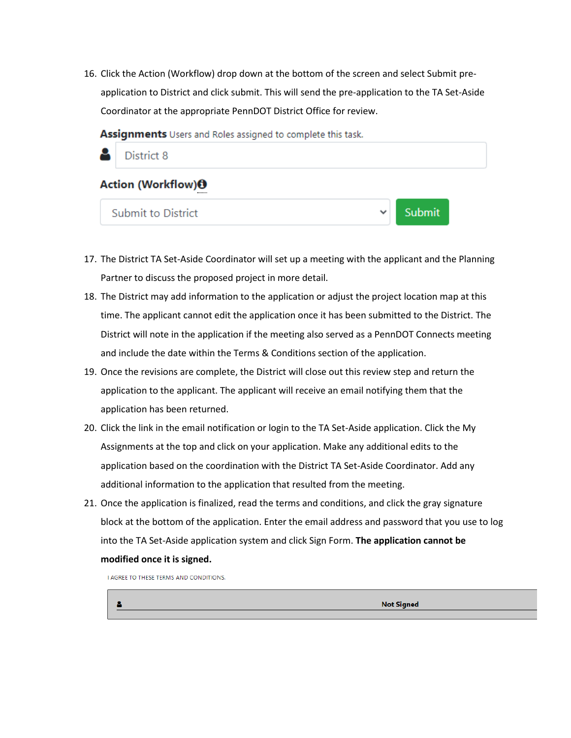16. Click the Action (Workflow) drop down at the bottom of the screen and select Submit preapplication to District and click submit. This will send the pre-application to the TA Set-Aside Coordinator at the appropriate PennDOT District Office for review.

Assignments Users and Roles assigned to complete this task.



- 17. The District TA Set-Aside Coordinator will set up a meeting with the applicant and the Planning Partner to discuss the proposed project in more detail.
- 18. The District may add information to the application or adjust the project location map at this time. The applicant cannot edit the application once it has been submitted to the District. The District will note in the application if the meeting also served as a PennDOT Connects meeting and include the date within the Terms & Conditions section of the application.
- 19. Once the revisions are complete, the District will close out this review step and return the application to the applicant. The applicant will receive an email notifying them that the application has been returned.
- 20. Click the link in the email notification or login to the TA Set-Aside application. Click the My Assignments at the top and click on your application. Make any additional edits to the application based on the coordination with the District TA Set-Aside Coordinator. Add any additional information to the application that resulted from the meeting.
- 21. Once the application is finalized, read the terms and conditions, and click the gray signature block at the bottom of the application. Enter the email address and password that you use to log into the TA Set-Aside application system and click Sign Form. **The application cannot be modified once it is signed.**

LAGREE TO THESE TERMS AND CONDITIONS.

**Not Signed**